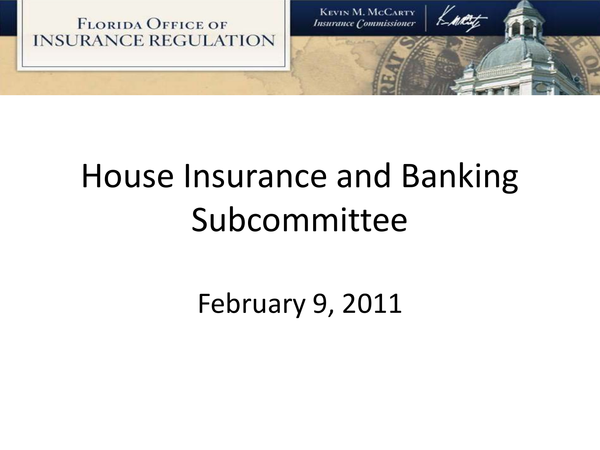

# House Insurance and Banking Subcommittee

February 9, 2011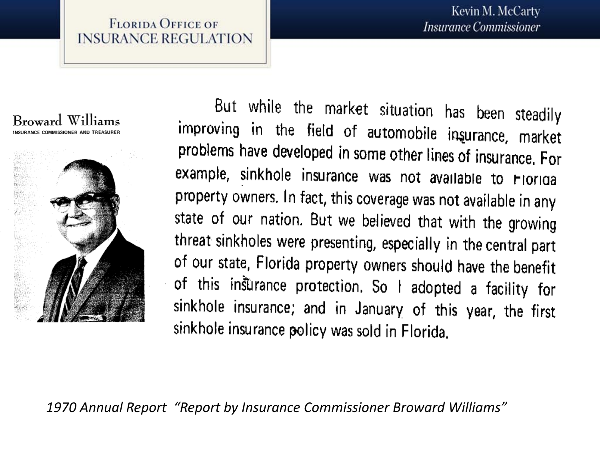



But while the market situation has been steadily improving in the field of automobile insurance, market problems have developed in some other lines of insurance. For example, sinkhole insurance was not available to Florida property owners. In fact, this coverage was not available in any state of our nation. But we believed that with the growing threat sinkholes were presenting, especially in the central part of our state, Florida property owners should have the benefit of this insurance protection. So I adopted a facility for sinkhole insurance; and in January of this year, the first sinkhole insurance policy was sold in Florida.

*1970 Annual Report "Report by Insurance Commissioner Broward Williams"*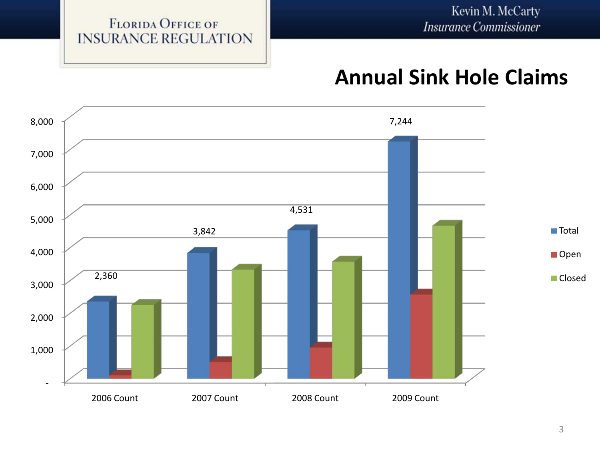## **Annual Sink Hole Claims**

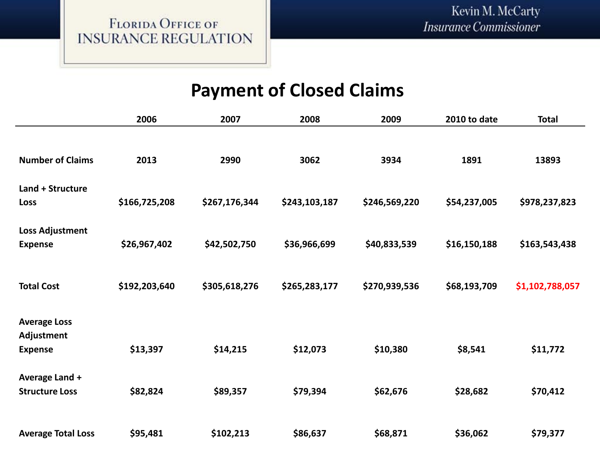### **Payment of Closed Claims**

|                           | 2006          | 2007          | 2008          | 2009          | 2010 to date | <b>Total</b>    |
|---------------------------|---------------|---------------|---------------|---------------|--------------|-----------------|
|                           |               |               |               |               |              |                 |
| <b>Number of Claims</b>   | 2013          | 2990          | 3062          | 3934          | 1891         | 13893           |
| Land + Structure          |               |               |               |               |              |                 |
| Loss                      | \$166,725,208 | \$267,176,344 | \$243,103,187 | \$246,569,220 | \$54,237,005 | \$978,237,823   |
| Loss Adjustment           |               |               |               |               |              |                 |
| <b>Expense</b>            | \$26,967,402  | \$42,502,750  | \$36,966,699  | \$40,833,539  | \$16,150,188 | \$163,543,438   |
|                           |               |               |               |               |              |                 |
| <b>Total Cost</b>         | \$192,203,640 | \$305,618,276 | \$265,283,177 | \$270,939,536 | \$68,193,709 | \$1,102,788,057 |
|                           |               |               |               |               |              |                 |
| <b>Average Loss</b>       |               |               |               |               |              |                 |
| Adjustment                |               |               |               |               |              |                 |
| <b>Expense</b>            | \$13,397      | \$14,215      | \$12,073      | \$10,380      | \$8,541      | \$11,772        |
| Average Land +            |               |               |               |               |              |                 |
| <b>Structure Loss</b>     | \$82,824      | \$89,357      | \$79,394      | \$62,676      | \$28,682     | \$70,412        |
|                           |               |               |               |               |              |                 |
| <b>Average Total Loss</b> | \$95,481      | \$102,213     | \$86,637      | \$68,871      | \$36,062     | \$79,377        |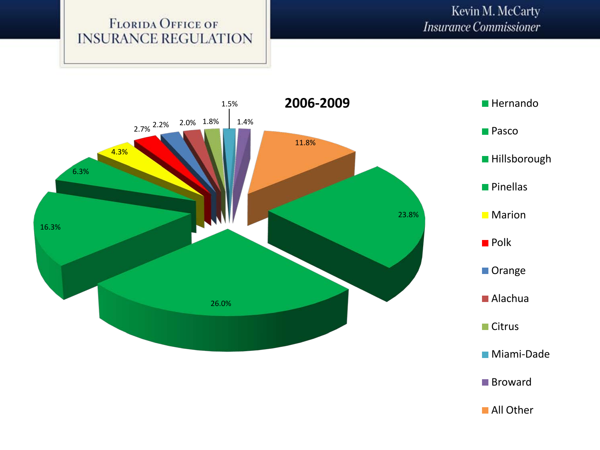

**All Other**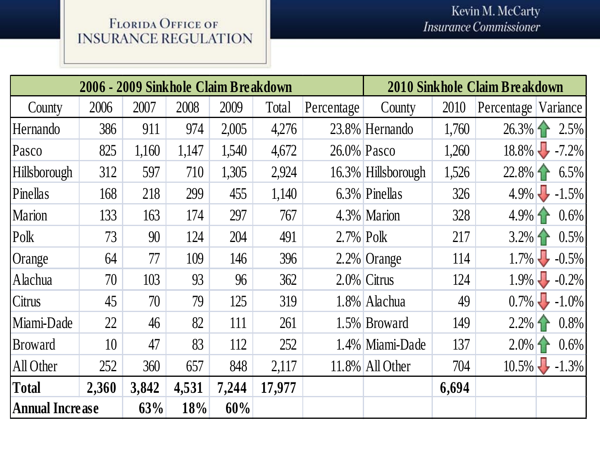| 2006 - 2009 Sinkhole Claim Breakdown |                 |       |       |       | 2010 Sinkhole Claim Breakdown |              |                    |       |                     |                   |
|--------------------------------------|-----------------|-------|-------|-------|-------------------------------|--------------|--------------------|-------|---------------------|-------------------|
| County                               | 2006            | 2007  | 2008  | 2009  | Total                         | Percentage   | County             | 2010  | Percentage Variance |                   |
| Hernando                             | 386             | 911   | 974   | 2,005 | 4,276                         |              | 23.8% Hernando     | 1,760 |                     | $26.3\%$ 2.5%     |
| Pasco                                | 825             | 1,160 | 1,147 | 1,540 | 4,672                         |              | 26.0% Pasco        | 1,260 |                     | $18.8\% - 7.2\%$  |
| <b>Hillsborough</b>                  | 312             | 597   | 710   | 1,305 | 2,924                         |              | 16.3% Hillsborough | 1,526 |                     | $22.8\%$ 6.5%     |
| Pinellas                             | 168             | 218   | 299   | 455   | 1,140                         |              | 6.3% Pinellas      | 326   |                     | $4.9\%$ -1.5%     |
| <b>Marion</b>                        | 133             | 163   | 174   | 297   | 767                           |              | 4.3% Marion        | 328   |                     | $4.9\%$ 1 $0.6\%$ |
| Polk                                 | 73              | 90    | 124   | 204   | 491                           | $2.7\%$ Polk |                    | 217   |                     | $3.2\%$ 1 $0.5\%$ |
| Orange                               | 64              | 77    | 109   | 146   | 396                           |              | $2.2\%$ Orange     | 114   |                     | $1.7\%$ -0.5%     |
| Alachua                              | 70              | 103   | 93    | 96    | 362                           |              | $2.0\%$ Citrus     | 124   |                     | $1.9\%$ -0.2%     |
| Citrus                               | 45              | 70    | 79    | 125   | 319                           |              | 1.8% Alachua       | 49    |                     | $0.7\%$ -1.0%     |
| Miami-Dade                           | 22              | 46    | 82    | 111   | 261                           |              | 1.5% Broward       | 149   | $2.2\%$ 1           | 0.8%              |
| <b>Broward</b>                       | 10 <sup>1</sup> | 47    | 83    | 112   | 252                           |              | 1.4% Miami-Dade    | 137   | $2.0\%$ 1           | $0.6\%$           |
| All Other                            | 252             | 360   | 657   | 848   | 2,117                         |              | $11.8\%$ All Other | 704   |                     | $10.5\%$ -1.3%    |
| Total                                | 2,360           | 3,842 | 4,531 | 7,244 | 17,977                        |              |                    | 6,694 |                     |                   |
| <b>Annual Increase</b>               |                 | 63%   | 18%   | 60%   |                               |              |                    |       |                     |                   |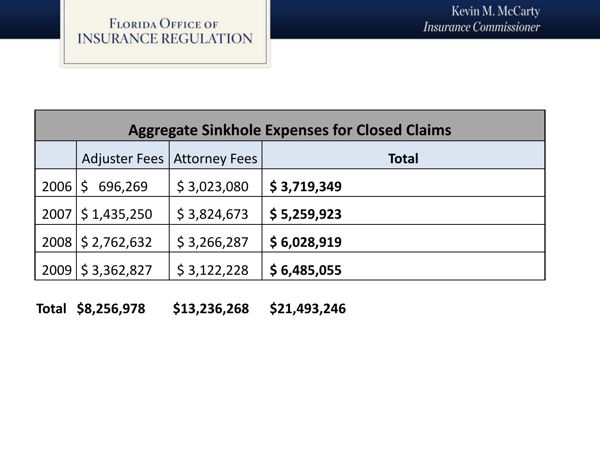| <b>Aggregate Sinkhole Expenses for Closed Claims</b> |                         |                               |              |  |  |
|------------------------------------------------------|-------------------------|-------------------------------|--------------|--|--|
|                                                      |                         | Adjuster Fees   Attorney Fees | <b>Total</b> |  |  |
| 2006                                                 | $\mathsf{S}$<br>696,269 | \$3,023,080                   | \$3,719,349  |  |  |
|                                                      | $2007 \mid 51,435,250$  | \$3,824,673                   | \$5,259,923  |  |  |
|                                                      | 2008 \$ 2,762,632       | \$3,266,287                   | \$6,028,919  |  |  |
| 2009                                                 | \$3,362,827             | \$3,122,228                   | \$6,485,055  |  |  |

**Total \$8,256,978 \$13,236,268 \$21,493,246**